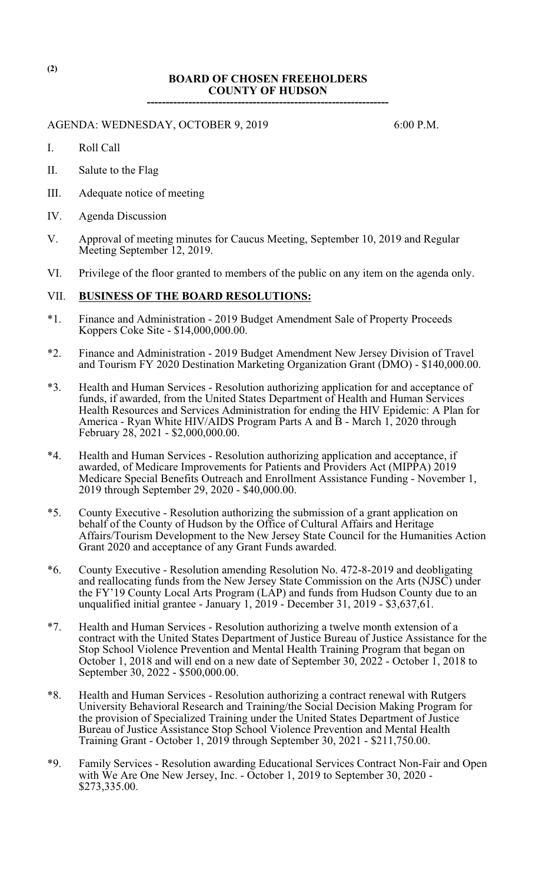## **BOARD OF CHOSEN FREEHOLDERS COUNTY OF HUDSON ----------------------------------------------------------------**

AGENDA: WEDNESDAY, OCTOBER 9, 2019 6:00 P.M.

- I. Roll Call
- II. Salute to the Flag
- III. Adequate notice of meeting
- IV. Agenda Discussion
- V. Approval of meeting minutes for Caucus Meeting, September 10, 2019 and Regular Meeting September 12, 2019.
- VI. Privilege of the floor granted to members of the public on any item on the agenda only.

# VII. **BUSINESS OF THE BOARD RESOLUTIONS:**

- \*1. Finance and Administration 2019 Budget Amendment Sale of Property Proceeds Koppers Coke Site - \$14,000,000.00.
- \*2. Finance and Administration 2019 Budget Amendment New Jersey Division of Travel and Tourism FY 2020 Destination Marketing Organization Grant (DMO) - \$140,000.00.
- \*3. Health and Human Services Resolution authorizing application for and acceptance of funds, if awarded, from the United States Department of Health and Human Services Health Resources and Services Administration for ending the HIV Epidemic: A Plan for America - Ryan White HIV/AIDS Program Parts A and  $\overline{B}$  - March 1, 2020 through February 28, 2021 - \$2,000,000.00.
- \*4. Health and Human Services Resolution authorizing application and acceptance, if awarded, of Medicare Improvements for Patients and Providers Act (MIPPA) 2019 Medicare Special Benefits Outreach and Enrollment Assistance Funding - November 1, 2019 through September 29, 2020 - \$40,000.00.
- \*5. County Executive Resolution authorizing the submission of a grant application on behalf of the County of Hudson by the Office of Cultural Affairs and Heritage Affairs/Tourism Development to the New Jersey State Council for the Humanities Action Grant 2020 and acceptance of any Grant Funds awarded.
- \*6. County Executive Resolution amending Resolution No. 472-8-2019 and deobligating and reallocating funds from the New Jersey State Commission on the Arts (NJSC) under the FY'19 County Local Arts Program (LAP) and funds from Hudson County due to an unqualified initial grantee - January 1, 2019 - December 31, 2019 - \$3,637,61.
- \*7. Health and Human Services Resolution authorizing a twelve month extension of a contract with the United States Department of Justice Bureau of Justice Assistance for the Stop School Violence Prevention and Mental Health Training Program that began on October 1, 2018 and will end on a new date of September 30,  $202\overline{2}$  - October 1, 2018 to September 30, 2022 - \$500,000.00.
- \*8. Health and Human Services Resolution authorizing a contract renewal with Rutgers University Behavioral Research and Training/the Social Decision Making Program for the provision of Specialized Training under the United States Department of Justice Bureau of Justice Assistance Stop School Violence Prevention and Mental Health Training Grant - October 1, 2019 through September 30, 2021 - \$211,750.00.
- \*9. Family Services Resolution awarding Educational Services Contract Non-Fair and Open with We Are One New Jersey, Inc. - October 1, 2019 to September 30, 2020 -\$273,335.00.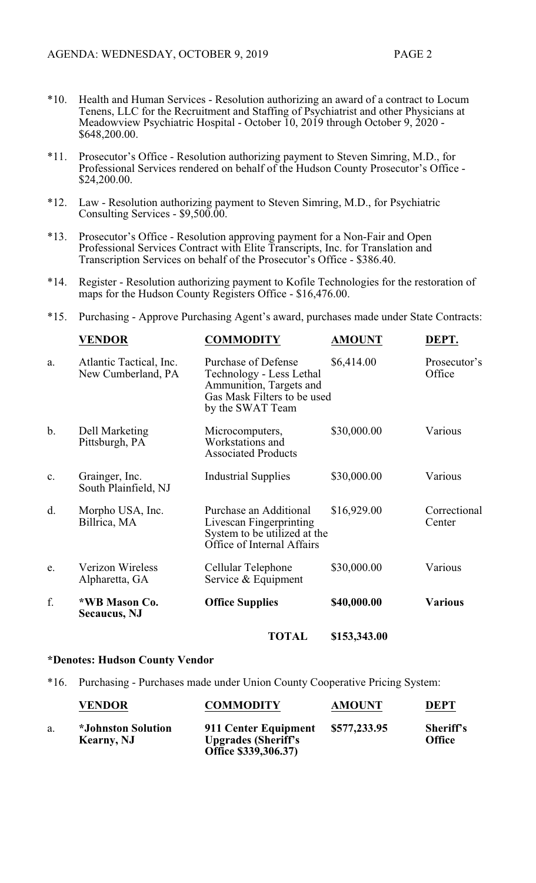- \*10. Health and Human Services Resolution authorizing an award of a contract to Locum Tenens, LLC for the Recruitment and Staffing of Psychiatrist and other Physicians at Meadowview Psychiatric Hospital - October 10, 2019 through October 9, 2020 - \$648,200.00.
- \*11. Prosecutor's Office Resolution authorizing payment to Steven Simring, M.D., for Professional Services rendered on behalf of the Hudson County Prosecutor's Office - \$24,200.00.
- \*12. Law Resolution authorizing payment to Steven Simring, M.D., for Psychiatric Consulting Services - \$9,500.00.
- \*13. Prosecutor's Office Resolution approving payment for a Non-Fair and Open Professional Services Contract with Elite Transcripts, Inc. for Translation and Transcription Services on behalf of the Prosecutor's Office - \$386.40.
- \*14. Register Resolution authorizing payment to Kofile Technologies for the restoration of maps for the Hudson County Registers Office - \$16,476.00.
- \*15. Purchasing Approve Purchasing Agent's award, purchases made under State Contracts:

|               | <b>VENDOR</b>                                 | <b>COMMODITY</b>                                                                                                              | <b>AMOUNT</b> | DEPT.                  |
|---------------|-----------------------------------------------|-------------------------------------------------------------------------------------------------------------------------------|---------------|------------------------|
| a.            | Atlantic Tactical, Inc.<br>New Cumberland, PA | Purchase of Defense<br>Technology - Less Lethal<br>Ammunition, Targets and<br>Gas Mask Filters to be used<br>by the SWAT Team | \$6,414.00    | Prosecutor's<br>Office |
| $\mathbf b$ . | Dell Marketing<br>Pittsburgh, PA              | Microcomputers,<br>Workstations and<br><b>Associated Products</b>                                                             | \$30,000.00   | Various                |
| c.            | Grainger, Inc.<br>South Plainfield, NJ        | <b>Industrial Supplies</b>                                                                                                    | \$30,000.00   | Various                |
| d.            | Morpho USA, Inc.<br>Billrica, MA              | Purchase an Additional<br>Livescan Fingerprinting<br>System to be utilized at the<br>Office of Internal Affairs               | \$16,929.00   | Correctional<br>Center |
| e.            | <b>Verizon Wireless</b><br>Alpharetta, GA     | Cellular Telephone<br>Service & Equipment                                                                                     | \$30,000.00   | Various                |
| f.            | *WB Mason Co.<br><b>Secaucus</b> , NJ         | <b>Office Supplies</b>                                                                                                        | \$40,000.00   | <b>Various</b>         |
|               |                                               | <b>TOTAL</b>                                                                                                                  | \$153,343.00  |                        |

#### **\*Denotes: Hudson County Vendor**

\*16. Purchasing - Purchases made under Union County Cooperative Pricing System:

|    | <b>VENDOR</b>                                          | <b>COMMODITY</b>                                                           | <b>AMOUNT</b> | <b>DEPT</b>                       |
|----|--------------------------------------------------------|----------------------------------------------------------------------------|---------------|-----------------------------------|
| a. | <i><b>*Johnston Solution</b></i><br><b>Kearny</b> , NJ | 911 Center Equipment<br><b>Upgrades (Sheriff's</b><br>Office \$339,306.37) | \$577,233.95  | <b>Sheriff's</b><br><b>Office</b> |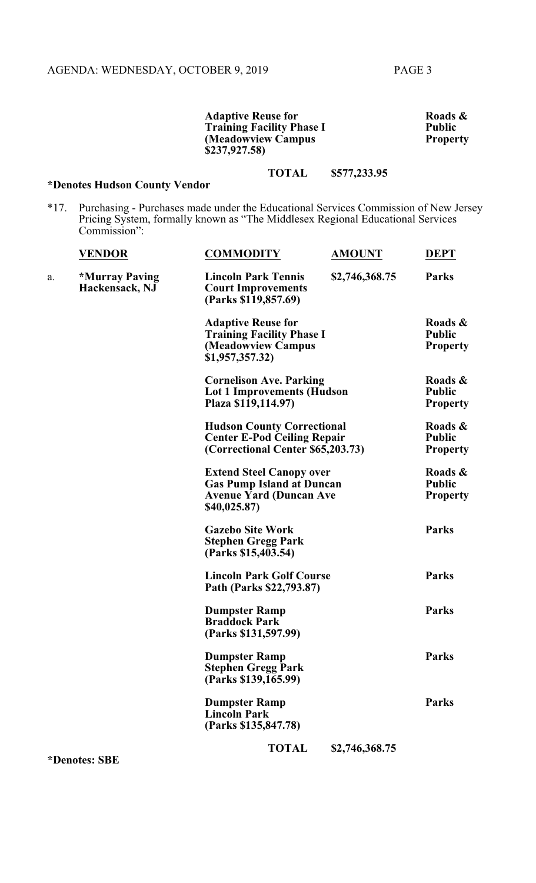**Adaptive Reuse for Service Roads & Roads & Roads & Roads & Roads & Roads & Roads & Roads & Roads & Roads & Roads & Roads & Roads & Roads & Roads & Roads & Roads & Roads & Roads & Roads & Roads & Roads & Roads & Roads & Ro Training Facility Phase I Public Property**<br> **Property (Meadowview Campus \$237,927.58)**

# **TOTAL \$577,233.95**

# **\*Denotes Hudson County Vendor**

\*17. Purchasing - Purchases made under the Educational Services Commission of New Jersey Pricing System, formally known as "The Middlesex Regional Educational Services Commission":

|    | <b>VENDOR</b>                                  | <b>COMMODITY</b>                                                                                                     | <b>AMOUNT</b>                                                                                                | <b>DEPT</b>                                 |
|----|------------------------------------------------|----------------------------------------------------------------------------------------------------------------------|--------------------------------------------------------------------------------------------------------------|---------------------------------------------|
| a. | <i><b>*Murray Paving</b></i><br>Hackensack, NJ | <b>Lincoln Park Tennis</b><br><b>Court Improvements</b><br>(Parks \$119,857.69)                                      | \$2,746,368.75                                                                                               | <b>Parks</b>                                |
|    |                                                | <b>Adaptive Reuse for</b><br><b>Training Facility Phase I</b><br>(Meadowview Campus<br>\$1,957,357.32)               |                                                                                                              | Roads &<br><b>Public</b><br><b>Property</b> |
|    |                                                | <b>Cornelison Ave. Parking</b><br><b>Lot 1 Improvements (Hudson</b><br>Plaza \$119,114.97)                           |                                                                                                              | Roads &<br><b>Public</b><br><b>Property</b> |
|    |                                                |                                                                                                                      | <b>Hudson County Correctional</b><br><b>Center E-Pod Ceiling Repair</b><br>(Correctional Center \$65,203.73) |                                             |
|    |                                                | <b>Extend Steel Canopy over</b><br><b>Gas Pump Island at Duncan</b><br><b>Avenue Yard (Duncan Ave</b><br>\$40,025.87 |                                                                                                              | Roads &<br><b>Public</b><br><b>Property</b> |
|    |                                                | <b>Gazebo Site Work</b><br><b>Stephen Gregg Park</b><br>(Parks \$15,403.54)                                          |                                                                                                              | <b>Parks</b>                                |
|    |                                                | <b>Lincoln Park Golf Course</b><br>Path (Parks \$22,793.87)                                                          |                                                                                                              | Parks                                       |
|    |                                                | <b>Dumpster Ramp</b><br><b>Braddock Park</b><br>(Parks \$131,597.99)                                                 |                                                                                                              | <b>Parks</b>                                |
|    |                                                | <b>Dumpster Ramp</b><br><b>Stephen Gregg Park</b><br>(Parks \$139,165.99)                                            |                                                                                                              | <b>Parks</b>                                |
|    |                                                | <b>Dumpster Ramp</b><br><b>Lincoln Park</b><br>(Parks \$135,847.78)                                                  |                                                                                                              | Parks                                       |
|    |                                                | <b>TOTAL</b>                                                                                                         | \$2,746,368.75                                                                                               |                                             |

**\*Denotes: SBE**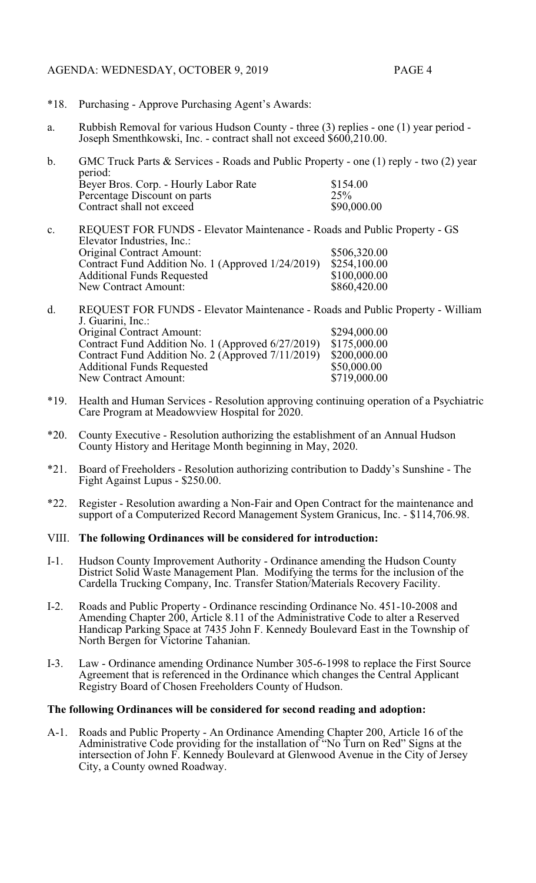## AGENDA: WEDNESDAY, OCTOBER 9, 2019 PAGE 4

- \*18. Purchasing Approve Purchasing Agent's Awards:
- a. Rubbish Removal for various Hudson County three (3) replies one (1) year period Joseph Smenthkowski, Inc. - contract shall not exceed \$600,210.00.
- b. GMC Truck Parts & Services Roads and Public Property one (1) reply two (2) year period: Beyer Bros. Corp. - Hourly Labor Rate \$154.00<br>Percentage Discount on parts \$25% Percentage Discount on parts 25%<br>
Contract shall not exceed \$90,000.00 Contract shall not exceed
- c. REQUEST FOR FUNDS Elevator Maintenance Roads and Public Property GS Elevator Industries, Inc.: Original Contract Amount: \$506,320.00<br>Contract Fund Addition No. 1 (Approved 1/24/2019) \$254,100.00 Contract Fund Addition No. 1 (Approved 1/24/2019) \$254,100.00<br>Additional Funds Requested \$100,000.00 Additional Funds Requested \$100,000.00<br>
New Contract Amount: \$860,420.00 New Contract Amount:
- d. REQUEST FOR FUNDS Elevator Maintenance Roads and Public Property William J. Guarini, Inc.: Original Contract Amount: \$294,000.00<br>Contract Fund Addition No. 1 (Approved 6/27/2019) \$175,000.00 Contract Fund Addition No. 1 (Approved 6/27/2019) \$175,000.00<br>Contract Fund Addition No. 2 (Approved 7/11/2019) \$200,000.00 Contract Fund Addition No. 2 (Approved 7/11/2019) \$200,000.00<br>Additional Funds Requested \$50,000.00 Additional Funds Requested \$50,000.00<br>
New Contract Amount: \$719,000.00 New Contract Amount:
- \*19. Health and Human Services Resolution approving continuing operation of a Psychiatric Care Program at Meadowview Hospital for 2020.
- \*20. County Executive Resolution authorizing the establishment of an Annual Hudson County History and Heritage Month beginning in May, 2020.
- \*21. Board of Freeholders Resolution authorizing contribution to Daddy's Sunshine The Fight Against Lupus - \$250.00.
- \*22. Register Resolution awarding a Non-Fair and Open Contract for the maintenance and support of a Computerized Record Management System Granicus, Inc. - \$114,706.98.

## VIII. **The following Ordinances will be considered for introduction:**

- I-1. Hudson County Improvement Authority Ordinance amending the Hudson County District Solid Waste Management Plan. Modifying the terms for the inclusion of the Cardella Trucking Company, Inc. Transfer Station/Materials Recovery Facility.
- I-2. Roads and Public Property Ordinance rescinding Ordinance No. 451-10-2008 and Amending Chapter 200, Article 8.11 of the Administrative Code to alter a Reserved Handicap Parking Space at 7435 John F. Kennedy Boulevard East in the Township of North Bergen for Victorine Tahanian.
- I-3. Law Ordinance amending Ordinance Number 305-6-1998 to replace the First Source Agreement that is referenced in the Ordinance which changes the Central Applicant Registry Board of Chosen Freeholders County of Hudson.

## **The following Ordinances will be considered for second reading and adoption:**

A-1. Roads and Public Property - An Ordinance Amending Chapter 200, Article 16 of the Administrative Code providing for the installation of "No Turn on Red" Signs at the intersection of John F. Kennedy Boulevard at Glenwood Avenue in the City of Jersey City, a County owned Roadway.